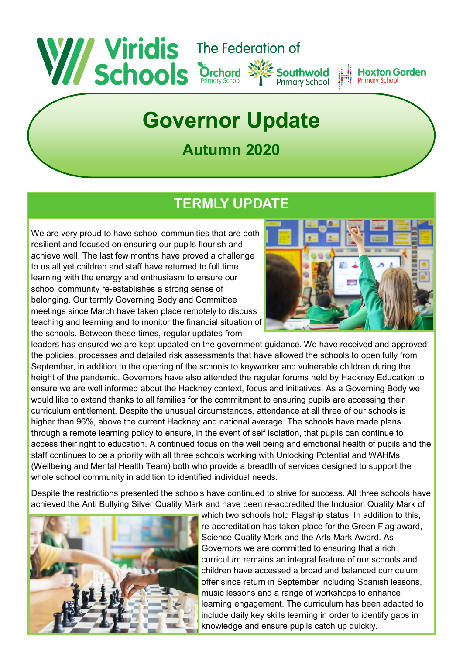

# **Governor Update**

## **Autumn 2020**

## **TERMLY UPDATE**

We are very proud to have school communities that are both resilient and focused on ensuring our pupils flourish and achieve well. The last few months have proved a challenge to us all yet children and staff have returned to full time learning with the energy and enthusiasm to ensure our school community re-establishes a strong sense of belonging. Our termly Governing Body and Committee meetings since March have taken place remotely to discuss teaching and learning and to monitor the financial situation of the schools. Between these times, regular updates from



leaders has ensured we are kept updated on the government guidance. We have received and approved the policies, processes and detailed risk assessments that have allowed the schools to open fully from September, in addition to the opening of the schools to keyworker and vulnerable children during the height of the pandemic. Governors have also attended the regular forums held by Hackney Education to ensure we are well informed about the Hackney context, focus and initiatives. As a Governing Body we would like to extend thanks to all families for the commitment to ensuring pupils are accessing their curriculum entitlement. Despite the unusual circumstances, attendance at all three of our schools is higher than 96%, above the current Hackney and national average. The schools have made plans through a remote learning policy to ensure, in the event of self isolation, that pupils can continue to access their right to education. A continued focus on the well being and emotional health of pupils and the staff continues to be a priority with all three schools working with Unlocking Potential and WAHMs (Wellbeing and Mental Health Team) both who provide a breadth of services designed to support the whole school community in addition to identified individual needs.

Despite the restrictions presented the schools have continued to strive for success. All three schools have achieved the Anti Bullying Silver Quality Mark and have been re-accredited the Inclusion Quality Mark of



which two schools hold Flagship status. In addition to this, re-accreditation has taken place for the Green Flag award, Science Quality Mark and the Arts Mark Award. As Governors we are committed to ensuring that a rich curriculum remains an integral feature of our schools and children have accessed a broad and balanced curriculum offer since return in September including Spanish lessons, music lessons and a range of workshops to enhance learning engagement. The curriculum has been adapted to include daily key skills learning in order to identify gaps in knowledge and ensure pupils catch up quickly.